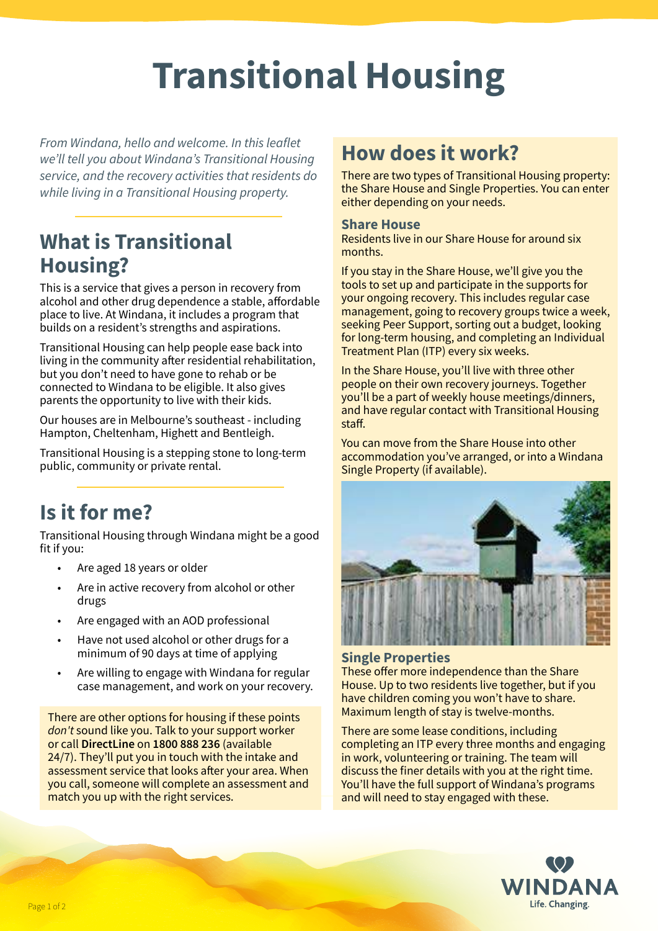# **Transitional Housing**

*From Windana, hello and welcome. In this leaflet we'll tell you about Windana's Transitional Housing service, and the recovery activities that residents do while living in a Transitional Housing property.*

## **What is Transitional Housing?**

This is a service that gives a person in recovery from alcohol and other drug dependence a stable, affordable place to live. At Windana, it includes a program that builds on a resident's strengths and aspirations.

Transitional Housing can help people ease back into living in the community after residential rehabilitation, but you don't need to have gone to rehab or be connected to Windana to be eligible. It also gives parents the opportunity to live with their kids.

Our houses are in Melbourne's southeast - including Hampton, Cheltenham, Highett and Bentleigh.

Transitional Housing is a stepping stone to long-term public, community or private rental.

# **Is it for me?**

Transitional Housing through Windana might be a good fit if you:

- Are aged 18 years or older
- Are in active recovery from alcohol or other drugs
- Are engaged with an AOD professional
- Have not used alcohol or other drugs for a minimum of 90 days at time of applying
- Are willing to engage with Windana for regular case management, and work on your recovery.

There are other options for housing if these points *don't* sound like you. Talk to your support worker or call **DirectLine** on **1800 888 236** (available 24/7). They'll put you in touch with the intake and assessment service that looks after your area. When you call, someone will complete an assessment and match you up with the right services.

## **How does it work?**

There are two types of Transitional Housing property: the Share House and Single Properties. You can enter either depending on your needs.

### **Share House**

Residents live in our Share House for around six months.

If you stay in the Share House, we'll give you the tools to set up and participate in the supports for your ongoing recovery. This includes regular case management, going to recovery groups twice a week, seeking Peer Support, sorting out a budget, looking for long-term housing, and completing an Individual Treatment Plan (ITP) every six weeks.

In the Share House, you'll live with three other people on their own recovery journeys. Together you'll be a part of weekly house meetings/dinners, and have regular contact with Transitional Housing staff.

You can move from the Share House into other accommodation you've arranged, or into a Windana Single Property (if available).



## **Single Properties**

These offer more independence than the Share House. Up to two residents live together, but if you have children coming you won't have to share. Maximum length of stay is twelve-months.

There are some lease conditions, including completing an ITP every three months and engaging in work, volunteering or training. The team will discuss the finer details with you at the right time. You'll have the full support of Windana's programs and will need to stay engaged with these.